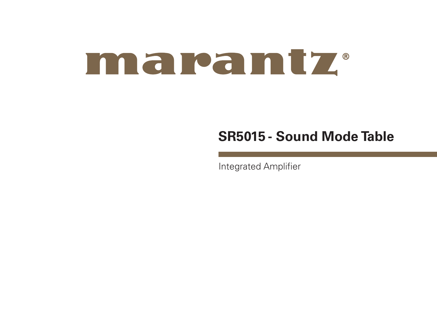# maramtz.

## **SR5015 - Sound Mode Table**

Integrated Amplifier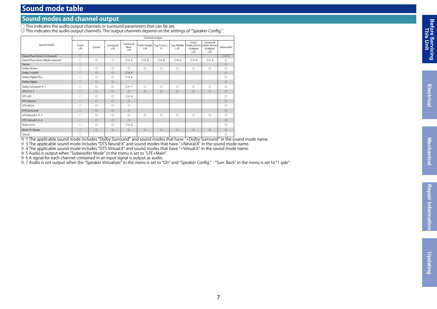### **Sound mode table**

#### **Sound modes and channel output**

 $\circlearrowright$  This indicates the audio output channels or surround parameters that can be set.

 $\copyright$  This indicates the audio output channels. The output channels depend on the settings of "Speaker Config.".

|                                    | Channel output |                |                 |                         |                                    |                |                |                                                               |                            |                     |  |  |  |  |
|------------------------------------|----------------|----------------|-----------------|-------------------------|------------------------------------|----------------|----------------|---------------------------------------------------------------|----------------------------|---------------------|--|--|--|--|
| Sound mode                         | Front<br>1/R   | Center         | Surround<br>L/R | Surround<br>Back<br>1/R | Front Height   Top Front L/<br>L/R | R              | L/R            | Front<br>Top Middle Dolby Atmos Dolby Atmos<br>Enabled<br>L/R | Surround<br>Enabled<br>L/R | Subwoofer           |  |  |  |  |
| Direct/Pure Direct (2-channel)     | $\circ$        |                |                 |                         |                                    |                |                |                                                               |                            | <b>O</b> $\times$ 5 |  |  |  |  |
| Direct/Pure Direct (Multi-channel) | O              | $\circledcirc$ | $\circledcirc$  | <b>O</b> * 6            | <b>◎</b> ※6                        | ◎※6            | ◎※6            | ◎※6                                                           | O <sub>*</sub> 6           | $\circledcirc$      |  |  |  |  |
| Stereo                             | $\circ$        |                |                 |                         |                                    |                |                |                                                               |                            | $\circledcirc$      |  |  |  |  |
| Dolby Atmos                        | O              | $\circledcirc$ | $\circledcirc$  | $\circledcirc$          | $\circledcirc$                     | O              | $\circledcirc$ | $\circ$                                                       | $\circledcirc$             | $\circledcirc$      |  |  |  |  |
| Dolby TrueHD                       | $\circ$        | $\circledcirc$ | $\circledcirc$  | $\oslash$ $\times$ 6    |                                    |                |                |                                                               |                            | $\circledcirc$      |  |  |  |  |
| Dolby Digital Plus                 | O              | $\circledcirc$ | $\circledcirc$  | ◎※6                     |                                    |                |                |                                                               |                            | $\circledcirc$      |  |  |  |  |
| Dolby Digital                      | $\circ$        | $\circledcirc$ | $\circledcirc$  |                         |                                    |                |                |                                                               |                            | $\circledcirc$      |  |  |  |  |
| Dolby Surround * 1                 | O              | $\circledcirc$ | $\circledcirc$  | ◎※7                     | $\circledcirc$                     | $\circledcirc$ | $\circledcirc$ | $\circledcirc$                                                | $\circledcirc$             | $\circledcirc$      |  |  |  |  |
| DTS: $X \times 2$                  | $\circ$        | $\circledcirc$ | $\circ$         | $\circledcirc$          | $\circledcirc$                     | $\circledcirc$ | $\circledcirc$ | $\odot$                                                       | $\circledcirc$             | $\circledcirc$      |  |  |  |  |
| DTS-HD                             | O              | $\circledcirc$ | $\circledcirc$  | ◎※6                     |                                    |                |                |                                                               |                            | $\circledcirc$      |  |  |  |  |
| <b>DTS Express</b>                 | $\circ$        | $\circledcirc$ | $\circledcirc$  | $\circledcirc$          |                                    |                |                |                                                               |                            | $\circledcirc$      |  |  |  |  |
| DTS 96/24                          | O              | $\circledcirc$ | $\circledcirc$  | $\circledcirc$          |                                    |                |                |                                                               |                            | $\circledcirc$      |  |  |  |  |
| <b>DTS Surround</b>                | $\bigcirc$     | $\circledcirc$ | $\circledcirc$  | $\circledcirc$          |                                    |                |                |                                                               |                            | $\circledcirc$      |  |  |  |  |
| DTS Neural: X $\ge 3$              | O              | $\circledcirc$ | $\circledcirc$  | $\circledcirc$          | $\circledcirc$                     | $\circledcirc$ | $\circledcirc$ | $\circledcirc$                                                | $\circledcirc$             | $\circledcirc$      |  |  |  |  |
| DTS Virtual:X $\frac{1}{2}$ 4      | $\circ$        | $\circledcirc$ | $\circ$         | $\circledcirc$          |                                    |                |                |                                                               |                            | $\circledcirc$      |  |  |  |  |
| Multi Ch In                        | O              | $\circledcirc$ | $\circledcirc$  | O <sub>*</sub> 6        |                                    |                |                |                                                               |                            | $\circledcirc$      |  |  |  |  |
| Multi Ch Stereo                    | $\circ$        | $\circledcirc$ | $\circ$         | $\circledcirc$          | $\circledcirc$                     | $\circledcirc$ | $\circledcirc$ | $\circledcirc$                                                | $\circledcirc$             | $\circledcirc$      |  |  |  |  |
| Virtual                            | O              |                |                 |                         |                                    |                |                |                                                               |                            | $\circledcirc$      |  |  |  |  |

Virtual ○ ◎ ※ 1 The applicable sound mode includes "Dolby Surround" and sound modes that have "+Dolby Surround" in the sound mode name.

※ 3 The applicable sound mode includes "DTS Neural:X" and sound modes that have "+Neural:X" in the sound mode name.

※ 4 The applicable sound mode includes "DTS Virtual:X" and sound modes that have "+Virtual:X" in the sound mode name.

※ 5 Audio is output when "Subwoofer Mode" in the menu is set to "LFE+Main".

※ 6 A signal for each channel contained in an input signal is output as audio.

※ 7 Audio is not output when the "Speaker Virtualizer" in the menu is set to "On" and "Speaker Config." - "Surr. Back" in the menu is set to "1 spkr".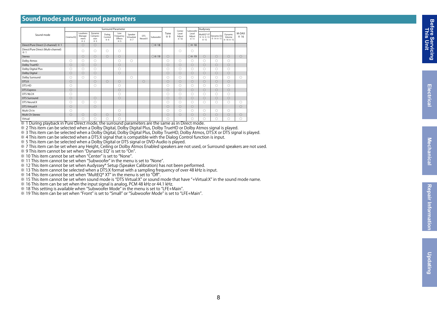#### **Sound modes and surround parameters**

|                                          |           |                                    |                                   |                         | <b>Surround Parameter</b>          |                              |                 | Center    | Subwoofer  | Audyssey                |                        |                                 |                         |                                |                   |
|------------------------------------------|-----------|------------------------------------|-----------------------------------|-------------------------|------------------------------------|------------------------------|-----------------|-----------|------------|-------------------------|------------------------|---------------------------------|-------------------------|--------------------------------|-------------------|
| Sound mode                               | Cinema EO | Loudness<br>Manage-<br>ment<br>※ 2 | Dynamic<br>Compres-<br>sion<br>※3 | Dialog<br>Control<br>※4 | Low<br>Frequency<br>Effects<br>※ 5 | Speaker<br>Virtualizer<br>※7 | DTS<br>Neural:X | Subwoofer | Tone<br>※9 | Level<br>Adjust<br>※ 10 | Level<br>Adjust<br>※11 | MultEO® XT<br>※ 12 ※ 13<br>※ 15 | Dynamic EQ<br>※ 14 ※ 15 | Dynamic<br>Volume<br>※ 14 ※ 15 | M-DAX<br>$\ge 16$ |
| Direct/Pure Direct (2-channel) ※ 1       |           | $\circ$                            | $\circ$                           |                         |                                    |                              |                 | ○※18      |            |                         | ○ ※ 18                 |                                 |                         |                                |                   |
| Direct/Pure Direct (Multi-channel)<br>×1 |           | Ō                                  | O                                 | O                       | $\circ$                            |                              |                 |           |            | $\circ$                 | $\circ$                |                                 |                         |                                |                   |
| Stereo                                   |           | $\circ$                            | $\circ$                           | $\circ$                 | $\circ$                            |                              |                 | ○※19      | $\circ$    |                         | ○ ※ 19                 | $\circ$                         | $\circ$                 | $\circ$                        | $\circ$           |
| Dolby Atmos                              | $\circ$   | O                                  | $\circ$                           |                         | $\circ$                            | $\circ$                      |                 |           | $\circ$    | $\circ$                 | $\circ$                | $\circ$                         | $\circ$                 | $\circ$                        |                   |
| Dolby TrueHD                             | $\circ$   | $\circ$                            | $\circ$                           |                         | $\circ$                            |                              |                 |           | $\circ$    | $\circ$                 | $\circ$                | $\circ$                         | $\circ$                 | $\circ$                        |                   |
| Dolby Digital Plus                       | $\circ$   | O                                  | 0                                 |                         | $\circ$                            |                              |                 |           | $\circ$    | $\circ$                 | $\circ$                | $\circ$                         | $\circ$                 | $\circ$                        |                   |
| Dolby Digital                            | $\circ$   | $\circ$                            | $\circ$                           |                         | $\circ$                            |                              |                 |           | $\circ$    | $\circ$                 | $\bigcirc$             | $\bigcirc$                      | $\bigcirc$              | $\circ$                        |                   |
| Dolby Surround                           | $\circ$   | $\circ$                            | O                                 |                         |                                    | $\circ$                      |                 |           | $\circ$    | $\circ$                 | $\circ$                | $\circ$                         | $\circ$                 | $\circ$                        | $\circ$           |
| DTS:X                                    | $\circ$   |                                    | $\circ$                           | $\circ$                 | $\circ$                            |                              | $\circ$         |           | $\circ$    | $\circ$                 | $\circ$                | $\circ$                         | $\circ$                 | $\circ$                        |                   |
| DTS-HD                                   | O         |                                    | Ō                                 |                         | $\circ$                            |                              |                 |           | $\circ$    | $\circ$                 | $\circ$                | $\circ$                         | $\circ$                 | $\circ$                        |                   |
| <b>DTS Express</b>                       | $\circ$   |                                    |                                   |                         | $\circ$                            |                              |                 |           | $\circ$    | $\circ$                 | $\circ$                | $\circ$                         | $\circ$                 | $\circ$                        |                   |
| DTS 96/24                                | O         |                                    |                                   |                         | $\circ$                            |                              |                 |           | O          | $\circ$                 | $\circ$                | $\circ$                         | $\circ$                 | $\circ$                        |                   |
| DTS Surround                             | $\circ$   |                                    | $\circ$                           |                         | $\circ$                            |                              |                 |           | $\circ$    | $\circ$                 | $\circ$                | $\circ$                         | $\circ$                 | $\circ$                        |                   |
| DTS Neural:X                             | $\circ$   | $\bigcirc$                         | Ō                                 |                         |                                    |                              |                 |           | $\circ$    | $\circ$                 | $\circ$                | $\circ$                         | $\circ$                 | $\circ$                        | $\circ$           |
| <b>DTS Virtual:X</b>                     | $\circ$   |                                    | $\circ$                           |                         |                                    |                              |                 |           | $\circ$    | $\circ$                 | $\circ$                |                                 |                         |                                | $\circ$           |
| Multi Ch In                              | $\circ$   |                                    |                                   |                         | $\circ$                            |                              |                 |           | $\circ$    | $\circ$                 | $\circ$                | $\circ$                         | $\circ$                 | $\circ$                        |                   |
| Multi Ch Stereo                          | $\circ$   | $\circ$                            | $\circ$                           | $\circ$                 | $\circ$                            |                              |                 |           | $\circ$    | $\circ$                 | $\circ$                | $\circ$                         | $\circ$                 | $\circ$                        | $\circ$           |
| Virtual                                  |           | $\circ$                            | O                                 | O                       | O                                  |                              |                 |           | O          |                         | O                      | $\circ$                         | $\circ$                 | $\circ$                        | $\circ$           |

 $\frac{V_{\text{intual}}}{V_{\text{intual}}}$  and  $\frac{1}{2}$  and  $\frac{1}{2}$  and  $\frac{1}{2}$  and  $\frac{1}{2}$  and  $\frac{1}{2}$  and  $\frac{1}{2}$  and  $\frac{1}{2}$  and  $\frac{1}{2}$  and  $\frac{1}{2}$  and  $\frac{1}{2}$  and  $\frac{1}{2}$  and  $\frac{1}{2}$  and  $\frac{1}{2}$  and  $\frac{1}{2}$  an

※ 2 This item can be selected when a Dolby Digital, Dolby Digital Plus, Dolby TrueHD or Dolby Atmos signal is played.

※ 3 This item can be selected when a Dolby Digital, Dolby Digital Plus, Dolby TrueHD, Dolby Atmos, DTS:X or DTS signal is played.

※ 4 This item can be selected when a DTS:X signal that is compatible with the Dialog Control function is input.

※ 5 This item can be selected when a Dolby Digital or DTS signal or DVD-Audio is played.

※ 7 This item can be set when any Height, Ceiling or Dolby Atmos Enabled speakers are not used, or Surround speakers are not used.

※ 9 This item cannot be set when "Dynamic EQ" is set to "On".

※ 10 This item cannot be set when "Center" is set to "None".

※ 11 This item cannot be set when "Subwoofer" in the menu is set to "None".

※ 12 This item cannot be set when Audyssey® Setup (Speaker Calibration) has not been performed.

※ 13 This item cannot be selected when a DTS:X format with a sampling frequency of over 48 kHz is input.

※ 14 This item cannot be set when "MultEQ® XT" in the menu is set to "Off".

※ 15 This item cannot be set when sound mode is "DTS Virtual:X" or sound mode that have "+Virtual:X" in the sound mode name.

※ 16 This item can be set when the input signal is analog, PCM 48 kHz or 44.1 kHz.

※ 18 This setting is available when "Subwoofer Mode" in the menu is set to "LFE+Main".

※ 19 This item can be set when "Front" is set to "Small" or "Subwoofer Mode" is set to "LFE+Main".